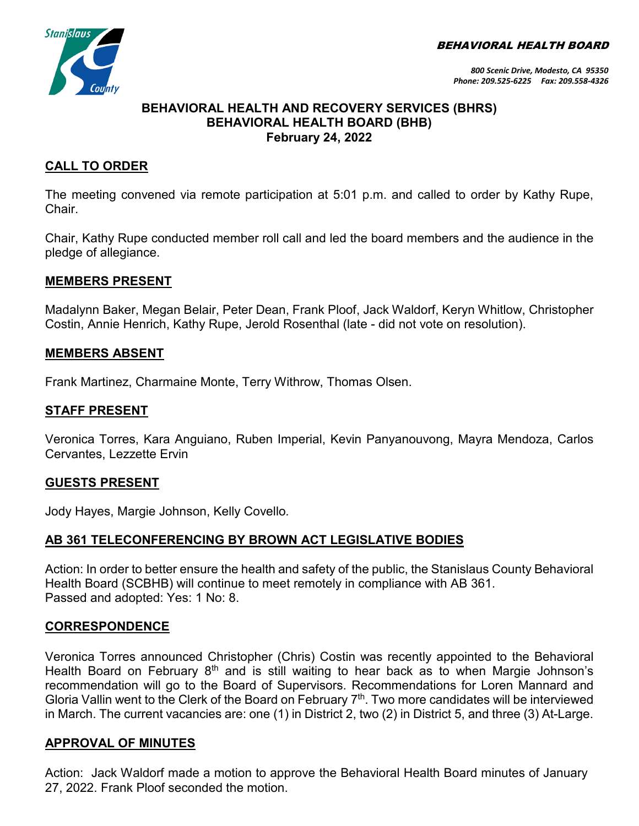BEHAVIORAL HEALTH BOARD



### **BEHAVIORAL HEALTH AND RECOVERY SERVICES (BHRS) BEHAVIORAL HEALTH BOARD (BHB) February 24, 2022**

# **CALL TO ORDER**

The meeting convened via remote participation at 5:01 p.m. and called to order by Kathy Rupe, Chair.

Chair, Kathy Rupe conducted member roll call and led the board members and the audience in the pledge of allegiance.

### **MEMBERS PRESENT**

Madalynn Baker, Megan Belair, Peter Dean, Frank Ploof, Jack Waldorf, Keryn Whitlow, Christopher Costin, Annie Henrich, Kathy Rupe, Jerold Rosenthal (late - did not vote on resolution).

### **MEMBERS ABSENT**

Frank Martinez, Charmaine Monte, Terry Withrow, Thomas Olsen.

## **STAFF PRESENT**

Veronica Torres, Kara Anguiano, Ruben Imperial, Kevin Panyanouvong, Mayra Mendoza, Carlos Cervantes, Lezzette Ervin

### **GUESTS PRESENT**

Jody Hayes, Margie Johnson, Kelly Covello*.*

# **AB 361 TELECONFERENCING BY BROWN ACT LEGISLATIVE BODIES**

Action: In order to better ensure the health and safety of the public, the Stanislaus County Behavioral Health Board (SCBHB) will continue to meet remotely in compliance with AB 361. Passed and adopted: Yes: 1 No: 8.

### **CORRESPONDENCE**

Veronica Torres announced Christopher (Chris) Costin was recently appointed to the Behavioral Health Board on February  $8<sup>th</sup>$  and is still waiting to hear back as to when Margie Johnson's recommendation will go to the Board of Supervisors. Recommendations for Loren Mannard and Gloria Vallin went to the Clerk of the Board on February 7<sup>th</sup>. Two more candidates will be interviewed in March. The current vacancies are: one (1) in District 2, two (2) in District 5, and three (3) At-Large.

### **APPROVAL OF MINUTES**

Action: Jack Waldorf made a motion to approve the Behavioral Health Board minutes of January 27, 2022. Frank Ploof seconded the motion.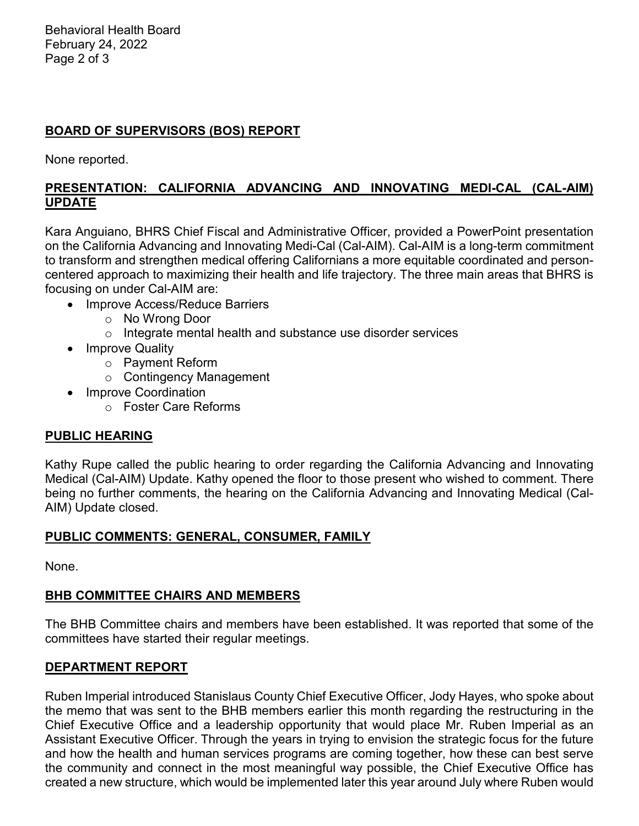Behavioral Health Board February 24, 2022 Page 2 of 3

# **BOARD OF SUPERVISORS (BOS) REPORT**

None reported.

# **PRESENTATION: CALIFORNIA ADVANCING AND INNOVATING MEDI-CAL (CAL-AIM) UPDATE**

Kara Anguiano, BHRS Chief Fiscal and Administrative Officer, provided a PowerPoint presentation on the California Advancing and Innovating Medi-Cal (Cal-AIM). Cal-AIM is a long-term commitment to transform and strengthen medical offering Californians a more equitable coordinated and personcentered approach to maximizing their health and life trajectory. The three main areas that BHRS is focusing on under Cal-AIM are:

- Improve Access/Reduce Barriers
	- o No Wrong Door
	- o Integrate mental health and substance use disorder services
- Improve Quality
	- o Payment Reform
	- o Contingency Management
- Improve Coordination
	- o Foster Care Reforms

# **PUBLIC HEARING**

Kathy Rupe called the public hearing to order regarding the California Advancing and Innovating Medical (Cal-AIM) Update. Kathy opened the floor to those present who wished to comment. There being no further comments, the hearing on the California Advancing and Innovating Medical (Cal-AIM) Update closed.

# **PUBLIC COMMENTS: GENERAL, CONSUMER, FAMILY**

None.

# **BHB COMMITTEE CHAIRS AND MEMBERS**

The BHB Committee chairs and members have been established. It was reported that some of the committees have started their regular meetings.

### **DEPARTMENT REPORT**

Ruben Imperial introduced Stanislaus County Chief Executive Officer, Jody Hayes, who spoke about the memo that was sent to the BHB members earlier this month regarding the restructuring in the Chief Executive Office and a leadership opportunity that would place Mr. Ruben Imperial as an Assistant Executive Officer. Through the years in trying to envision the strategic focus for the future and how the health and human services programs are coming together, how these can best serve the community and connect in the most meaningful way possible, the Chief Executive Office has created a new structure, which would be implemented later this year around July where Ruben would